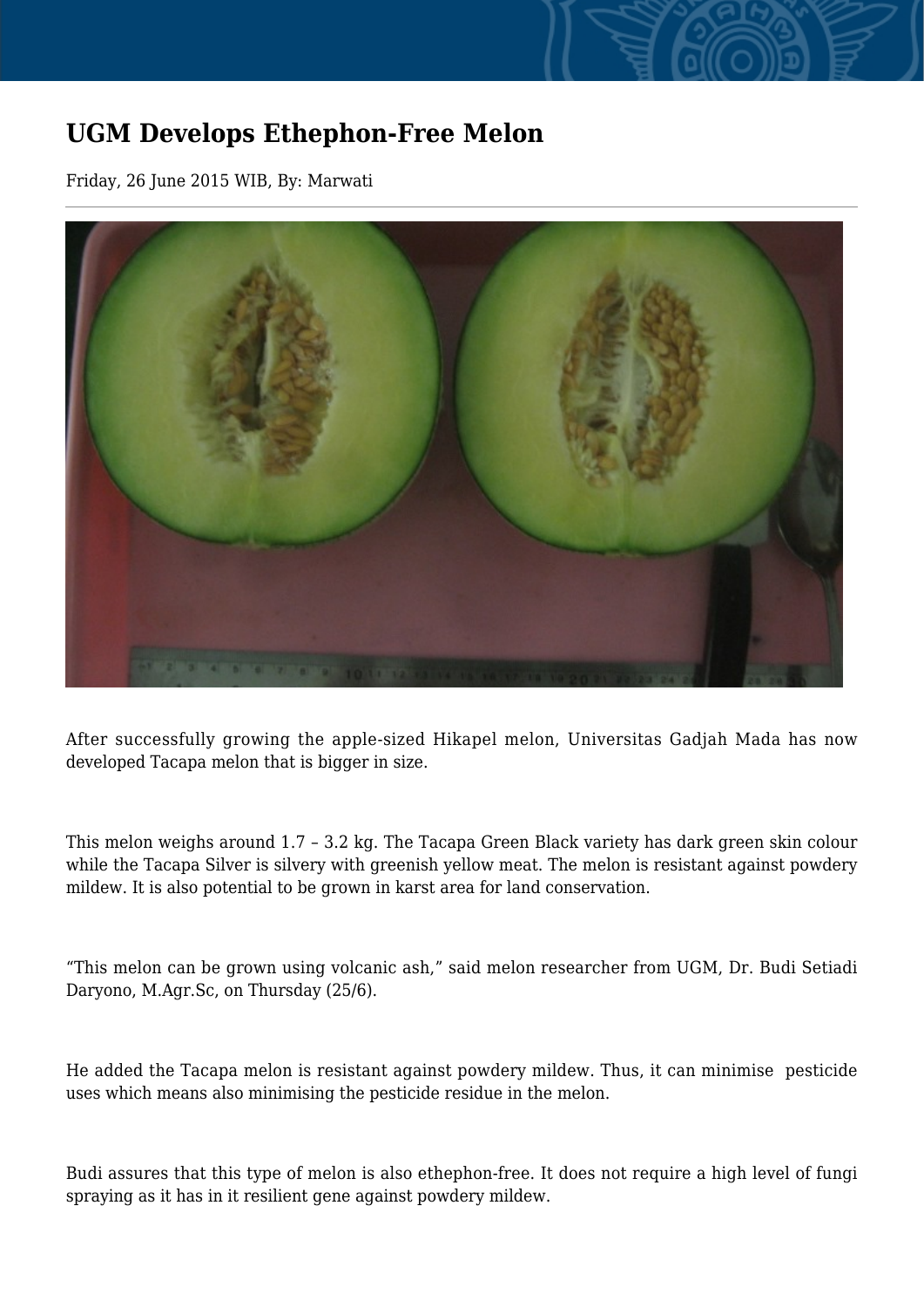## **UGM Develops Ethephon-Free Melon**

Friday, 26 June 2015 WIB, By: Marwati



After successfully growing the apple-sized Hikapel melon, Universitas Gadjah Mada has now developed Tacapa melon that is bigger in size.

This melon weighs around 1.7 – 3.2 kg. The Tacapa Green Black variety has dark green skin colour while the Tacapa Silver is silvery with greenish yellow meat. The melon is resistant against powdery mildew. It is also potential to be grown in karst area for land conservation.

"This melon can be grown using volcanic ash," said melon researcher from UGM, Dr. Budi Setiadi Daryono, M.Agr.Sc, on Thursday (25/6).

He added the Tacapa melon is resistant against powdery mildew. Thus, it can minimise pesticide uses which means also minimising the pesticide residue in the melon.

Budi assures that this type of melon is also ethephon-free. It does not require a high level of fungi spraying as it has in it resilient gene against powdery mildew.